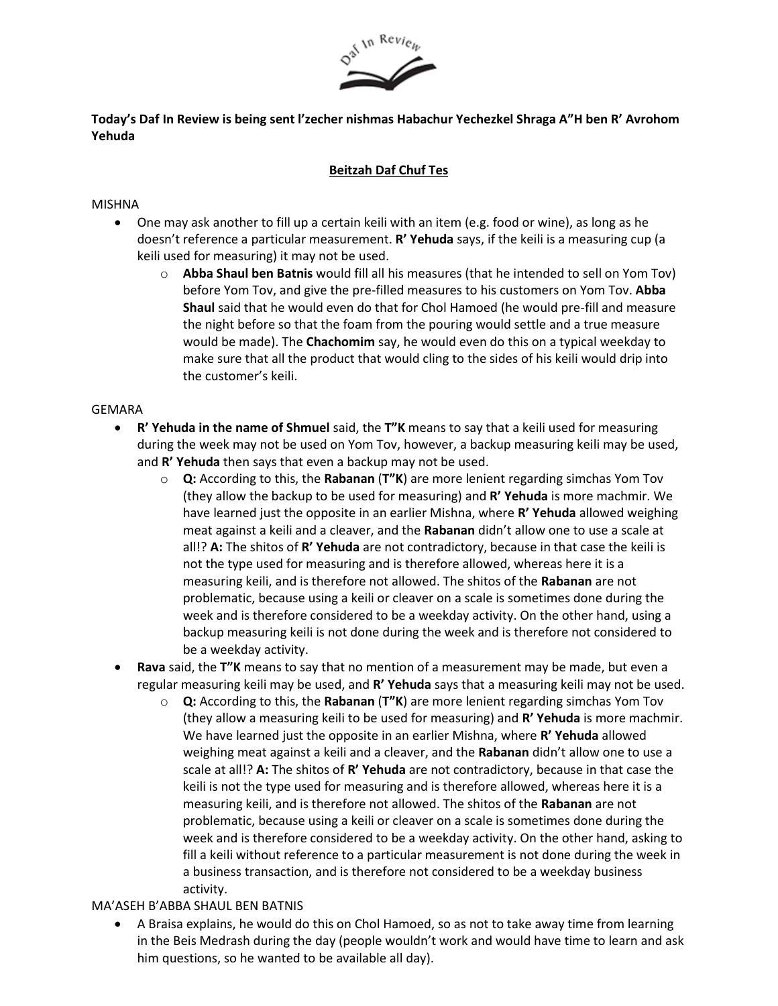

**Today's Daf In Review is being sent l'zecher nishmas Habachur Yechezkel Shraga A"H ben R' Avrohom Yehuda**

### **Beitzah Daf Chuf Tes**

#### MISHNA

- One may ask another to fill up a certain keili with an item (e.g. food or wine), as long as he doesn't reference a particular measurement. **R' Yehuda** says, if the keili is a measuring cup (a keili used for measuring) it may not be used.
	- o **Abba Shaul ben Batnis** would fill all his measures (that he intended to sell on Yom Tov) before Yom Tov, and give the pre-filled measures to his customers on Yom Tov. **Abba Shaul** said that he would even do that for Chol Hamoed (he would pre-fill and measure the night before so that the foam from the pouring would settle and a true measure would be made). The **Chachomim** say, he would even do this on a typical weekday to make sure that all the product that would cling to the sides of his keili would drip into the customer's keili.

#### GEMARA

- **R' Yehuda in the name of Shmuel** said, the **T"K** means to say that a keili used for measuring during the week may not be used on Yom Tov, however, a backup measuring keili may be used, and **R' Yehuda** then says that even a backup may not be used.
	- **Q:** According to this, the Rabanan (T"K) are more lenient regarding simchas Yom Tov (they allow the backup to be used for measuring) and **R' Yehuda** is more machmir. We have learned just the opposite in an earlier Mishna, where **R' Yehuda** allowed weighing meat against a keili and a cleaver, and the **Rabanan** didn't allow one to use a scale at all!? **A:** The shitos of **R' Yehuda** are not contradictory, because in that case the keili is not the type used for measuring and is therefore allowed, whereas here it is a measuring keili, and is therefore not allowed. The shitos of the **Rabanan** are not problematic, because using a keili or cleaver on a scale is sometimes done during the week and is therefore considered to be a weekday activity. On the other hand, using a backup measuring keili is not done during the week and is therefore not considered to be a weekday activity.
- **Rava** said, the **T"K** means to say that no mention of a measurement may be made, but even a regular measuring keili may be used, and **R' Yehuda** says that a measuring keili may not be used.
	- o **Q:** According to this, the **Rabanan** (**T"K**) are more lenient regarding simchas Yom Tov (they allow a measuring keili to be used for measuring) and **R' Yehuda** is more machmir. We have learned just the opposite in an earlier Mishna, where **R' Yehuda** allowed weighing meat against a keili and a cleaver, and the **Rabanan** didn't allow one to use a scale at all!? **A:** The shitos of **R' Yehuda** are not contradictory, because in that case the keili is not the type used for measuring and is therefore allowed, whereas here it is a measuring keili, and is therefore not allowed. The shitos of the **Rabanan** are not problematic, because using a keili or cleaver on a scale is sometimes done during the week and is therefore considered to be a weekday activity. On the other hand, asking to fill a keili without reference to a particular measurement is not done during the week in a business transaction, and is therefore not considered to be a weekday business activity.

# MA'ASEH B'ABBA SHAUL BEN BATNIS

• A Braisa explains, he would do this on Chol Hamoed, so as not to take away time from learning in the Beis Medrash during the day (people wouldn't work and would have time to learn and ask him questions, so he wanted to be available all day).